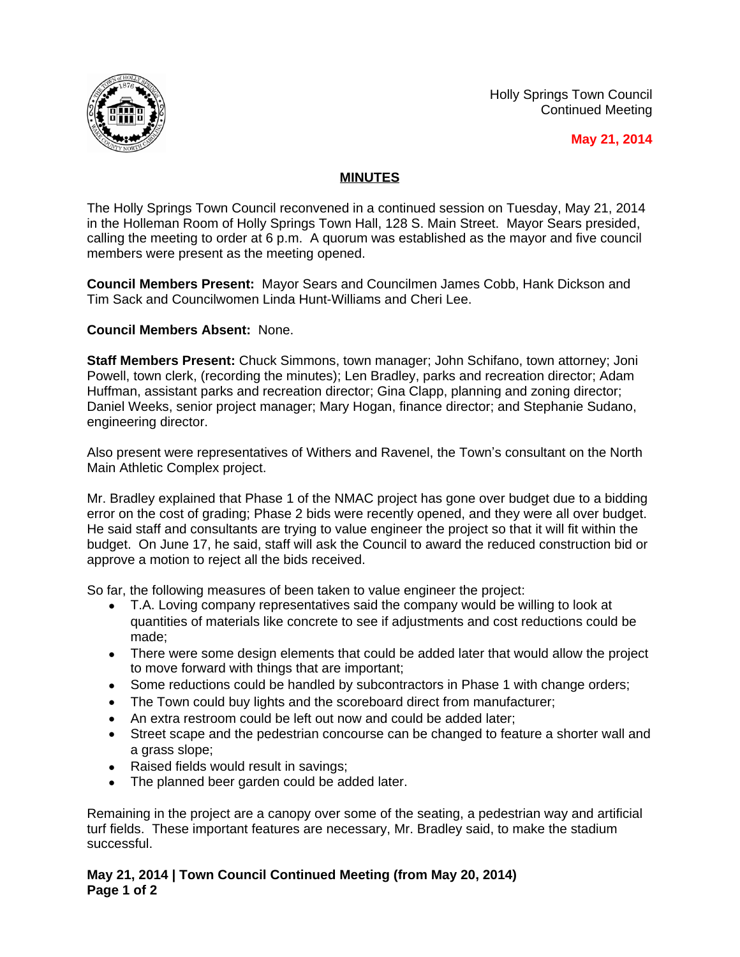Holly Springs Town Council Continued Meeting



 **May 21, 2014**

## **MINUTES**

The Holly Springs Town Council reconvened in a continued session on Tuesday, May 21, 2014 in the Holleman Room of Holly Springs Town Hall, 128 S. Main Street. Mayor Sears presided, calling the meeting to order at 6 p.m. A quorum was established as the mayor and five council members were present as the meeting opened.

**Council Members Present:** Mayor Sears and Councilmen James Cobb, Hank Dickson and Tim Sack and Councilwomen Linda Hunt-Williams and Cheri Lee.

**Council Members Absent:** None.

**Staff Members Present:** Chuck Simmons, town manager; John Schifano, town attorney; Joni Powell, town clerk, (recording the minutes); Len Bradley, parks and recreation director; Adam Huffman, assistant parks and recreation director; Gina Clapp, planning and zoning director; Daniel Weeks, senior project manager; Mary Hogan, finance director; and Stephanie Sudano, engineering director.

Also present were representatives of Withers and Ravenel, the Town's consultant on the North Main Athletic Complex project.

Mr. Bradley explained that Phase 1 of the NMAC project has gone over budget due to a bidding error on the cost of grading; Phase 2 bids were recently opened, and they were all over budget. He said staff and consultants are trying to value engineer the project so that it will fit within the budget. On June 17, he said, staff will ask the Council to award the reduced construction bid or approve a motion to reject all the bids received.

So far, the following measures of been taken to value engineer the project:

- T.A. Loving company representatives said the company would be willing to look at quantities of materials like concrete to see if adjustments and cost reductions could be made;
- There were some design elements that could be added later that would allow the project to move forward with things that are important;
- Some reductions could be handled by subcontractors in Phase 1 with change orders;
- The Town could buy lights and the scoreboard direct from manufacturer:
- An extra restroom could be left out now and could be added later;
- Street scape and the pedestrian concourse can be changed to feature a shorter wall and a grass slope;
- Raised fields would result in savings;
- The planned beer garden could be added later.

Remaining in the project are a canopy over some of the seating, a pedestrian way and artificial turf fields. These important features are necessary, Mr. Bradley said, to make the stadium successful.

**May 21, 2014 | Town Council Continued Meeting (from May 20, 2014) Page 1 of 2**